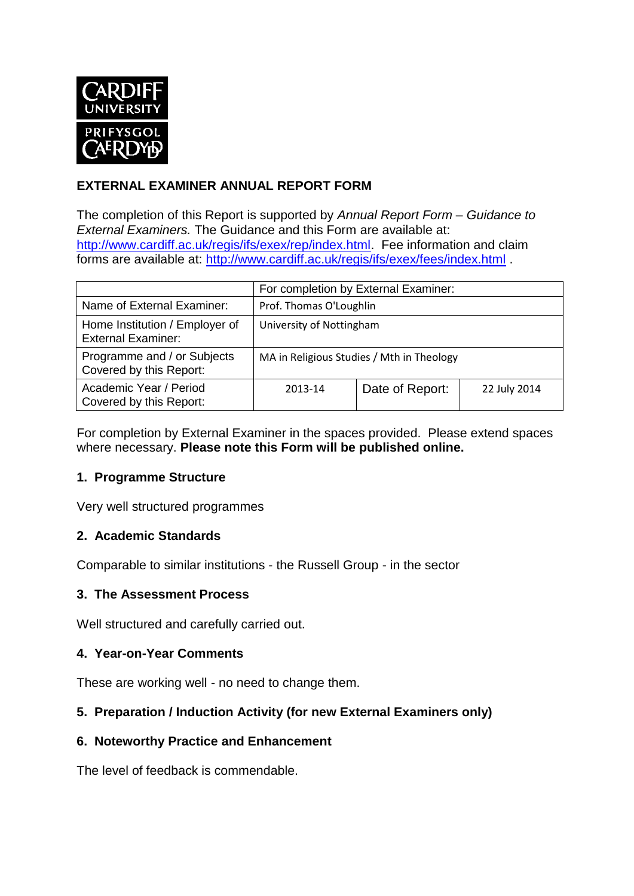

# **EXTERNAL EXAMINER ANNUAL REPORT FORM**

The completion of this Report is supported by *Annual Report Form – Guidance to External Examiners.* The Guidance and this Form are available at: [http://www.cardiff.ac.uk/regis/ifs/exex/rep/index.html.](http://www.cardiff.ac.uk/regis/ifs/exex/rep/index.html) Fee information and claim forms are available at:<http://www.cardiff.ac.uk/regis/ifs/exex/fees/index.html> .

|                                                             | For completion by External Examiner:      |                 |              |  |
|-------------------------------------------------------------|-------------------------------------------|-----------------|--------------|--|
| Name of External Examiner:                                  | Prof. Thomas O'Loughlin                   |                 |              |  |
| Home Institution / Employer of<br><b>External Examiner:</b> | University of Nottingham                  |                 |              |  |
| Programme and / or Subjects<br>Covered by this Report:      | MA in Religious Studies / Mth in Theology |                 |              |  |
| Academic Year / Period<br>Covered by this Report:           | 2013-14                                   | Date of Report: | 22 July 2014 |  |

For completion by External Examiner in the spaces provided. Please extend spaces where necessary. **Please note this Form will be published online.**

## **1. Programme Structure**

Very well structured programmes

## **2. Academic Standards**

Comparable to similar institutions - the Russell Group - in the sector

#### **3. The Assessment Process**

Well structured and carefully carried out.

#### **4. Year-on-Year Comments**

These are working well - no need to change them.

#### **5. Preparation / Induction Activity (for new External Examiners only)**

#### **6. Noteworthy Practice and Enhancement**

The level of feedback is commendable.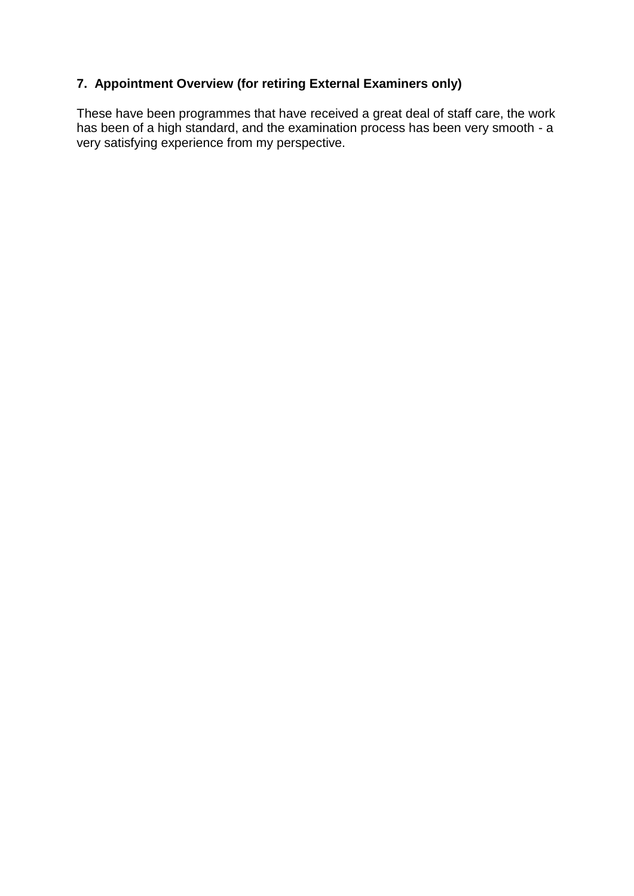# **7. Appointment Overview (for retiring External Examiners only)**

These have been programmes that have received a great deal of staff care, the work has been of a high standard, and the examination process has been very smooth - a very satisfying experience from my perspective.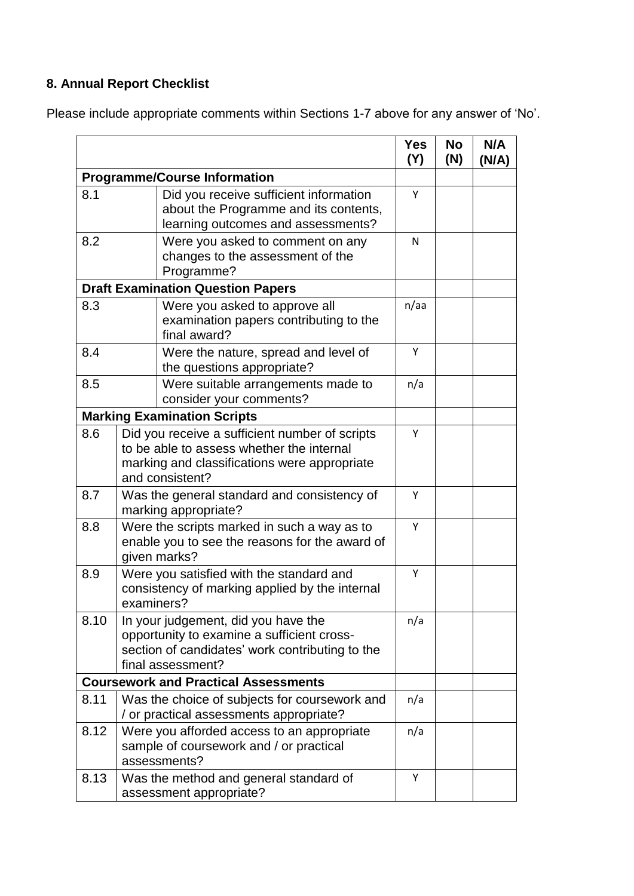# **8. Annual Report Checklist**

Please include appropriate comments within Sections 1-7 above for any answer of 'No'.

|                                     |                                                                                                                                                                | <b>Yes</b><br>(Y) | <b>No</b><br>(N) | N/A<br>(N/A) |
|-------------------------------------|----------------------------------------------------------------------------------------------------------------------------------------------------------------|-------------------|------------------|--------------|
| <b>Programme/Course Information</b> |                                                                                                                                                                |                   |                  |              |
| 8.1                                 | Did you receive sufficient information<br>about the Programme and its contents,<br>learning outcomes and assessments?                                          | Y                 |                  |              |
| 8.2                                 | Were you asked to comment on any<br>changes to the assessment of the<br>Programme?                                                                             | N                 |                  |              |
|                                     | <b>Draft Examination Question Papers</b>                                                                                                                       |                   |                  |              |
| 8.3                                 | Were you asked to approve all<br>examination papers contributing to the<br>final award?                                                                        | n/aa              |                  |              |
| 8.4                                 | Were the nature, spread and level of<br>the questions appropriate?                                                                                             | Y                 |                  |              |
| 8.5                                 | Were suitable arrangements made to<br>consider your comments?                                                                                                  | n/a               |                  |              |
|                                     | <b>Marking Examination Scripts</b>                                                                                                                             |                   |                  |              |
| 8.6                                 | Did you receive a sufficient number of scripts<br>to be able to assess whether the internal<br>marking and classifications were appropriate<br>and consistent? | Y                 |                  |              |
| 8.7                                 | Was the general standard and consistency of<br>marking appropriate?                                                                                            |                   |                  |              |
| 8.8                                 | Were the scripts marked in such a way as to<br>enable you to see the reasons for the award of<br>given marks?                                                  |                   |                  |              |
| 8.9                                 | Were you satisfied with the standard and<br>consistency of marking applied by the internal<br>examiners?                                                       |                   |                  |              |
| 8.10                                | In your judgement, did you have the<br>opportunity to examine a sufficient cross-<br>section of candidates' work contributing to the<br>final assessment?      |                   |                  |              |
|                                     | <b>Coursework and Practical Assessments</b>                                                                                                                    |                   |                  |              |
| 8.11                                | Was the choice of subjects for coursework and<br>/ or practical assessments appropriate?                                                                       |                   |                  |              |
| 8.12                                | Were you afforded access to an appropriate<br>sample of coursework and / or practical<br>assessments?                                                          | n/a               |                  |              |
| 8.13                                | Was the method and general standard of<br>assessment appropriate?                                                                                              | Y                 |                  |              |